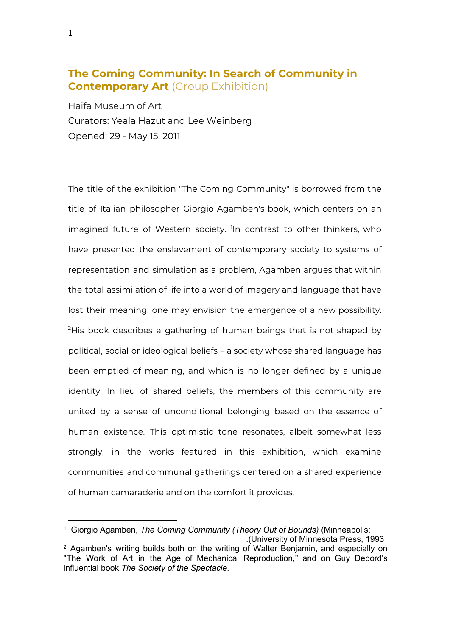## **The Coming Community: In Search of Community in Contemporary Art** (Group Exhibition)

Haifa Museum of Art Curators: Yeala Hazut and Lee Weinberg Opened: 29 - May 15, 2011

The title of the exhibition "The Coming Community" is borrowed from the title of Italian philosopher Giorgio Agamben's book, which centers on an imagined future of Western society. <sup>I</sup>In contrast to other thinkers, who have presented the enslavement of contemporary society to systems of representation and simulation as a problem, Agamben argues that within the total assimilation of life into a world of imagery and language that have lost their meaning, one may envision the emergence of a new possibility. <sup>2</sup>His book describes a gathering of human beings that is not shaped by political, social or ideological beliefs – a society whose shared language has been emptied of meaning, and which is no longer defined by a unique identity. In lieu of shared beliefs, the members of this community are united by a sense of unconditional belonging based on the essence of human existence. This optimistic tone resonates, albeit somewhat less strongly, in the works featured in this exhibition, which examine communities and communal gatherings centered on a shared experience of human camaraderie and on the comfort it provides.

<sup>1</sup> Giorgio Agamben, *The Coming Community (Theory Out of Bounds)* (Minneapolis: .(University of Minnesota Press, 1993 <sup>2</sup> Agamben's writing builds both on the writing of Walter Benjamin, and especially on "The Work of Art in the Age of Mechanical Reproduction," and on Guy Debord's influential book *The Society of the Spectacle*.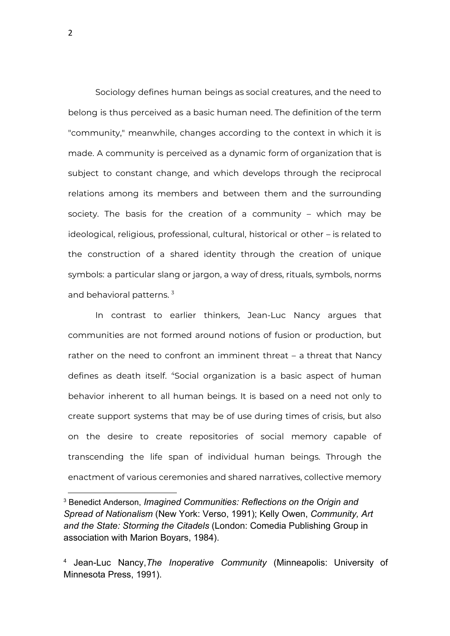Sociology defines human beings as social creatures, and the need to belong is thus perceived as a basic human need. The definition of the term "community," meanwhile, changes according to the context in which it is made. A community is perceived as a dynamic form of organization that is subject to constant change, and which develops through the reciprocal relations among its members and between them and the surrounding society. The basis for the creation of a community – which may be ideological, religious, professional, cultural, historical or other – is related to the construction of a shared identity through the creation of unique symbols: a particular slang or jargon, a way of dress, rituals, symbols, norms and behavioral patterns.<sup>3</sup>

In contrast to earlier thinkers, Jean-Luc Nancy argues that communities are not formed around notions of fusion or production, but rather on the need to confront an imminent threat – a threat that Nancy defines as death itself. <sup>4</sup>Social organization is a basic aspect of human behavior inherent to all human beings. It is based on a need not only to create support systems that may be of use during times of crisis, but also on the desire to create repositories of social memory capable of transcending the life span of individual human beings. Through the enactment of various ceremonies and shared narratives, collective memory

<sup>3</sup> Benedict Anderson, *Imagined Communities: Reflections on the Origin and Spread of Nationalism* (New York: Verso, 1991); Kelly Owen, *Community, Art and the State: Storming the Citadels* (London: Comedia Publishing Group in association with Marion Boyars, 1984).

<sup>4</sup> Jean-Luc Nancy,*The Inoperative Community* (Minneapolis: University of Minnesota Press, 1991).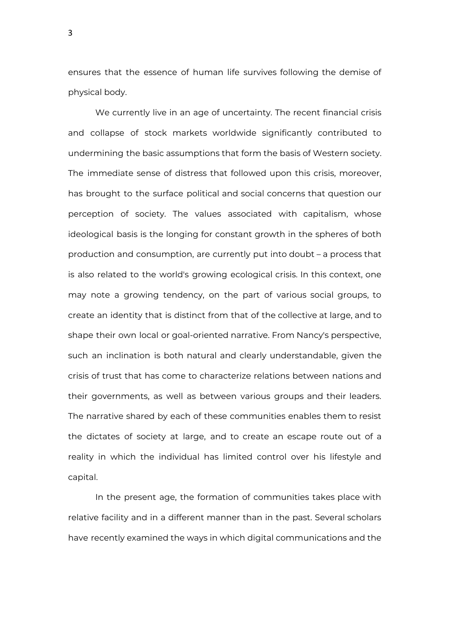ensures that the essence of human life survives following the demise of physical body.

We currently live in an age of uncertainty. The recent financial crisis and collapse of stock markets worldwide significantly contributed to undermining the basic assumptions that form the basis of Western society. The immediate sense of distress that followed upon this crisis, moreover, has brought to the surface political and social concerns that question our perception of society. The values associated with capitalism, whose ideological basis is the longing for constant growth in the spheres of both production and consumption, are currently put into doubt – a process that is also related to the world's growing ecological crisis. In this context, one may note a growing tendency, on the part of various social groups, to create an identity that is distinct from that of the collective at large, and to shape their own local or goal-oriented narrative. From Nancy's perspective, such an inclination is both natural and clearly understandable, given the crisis of trust that has come to characterize relations between nations and their governments, as well as between various groups and their leaders. The narrative shared by each of these communities enables them to resist the dictates of society at large, and to create an escape route out of a reality in which the individual has limited control over his lifestyle and capital.

In the present age, the formation of communities takes place with relative facility and in a different manner than in the past. Several scholars have recently examined the ways in which digital communications and the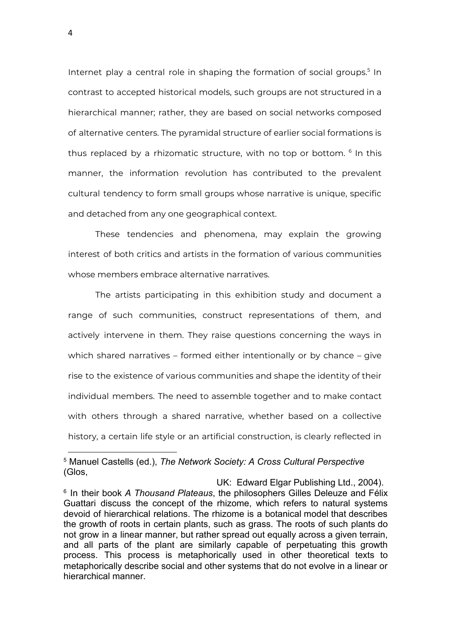Internet play a central role in shaping the formation of social groups.<sup>5</sup> In contrast to accepted historical models, such groups are not structured in a hierarchical manner; rather, they are based on social networks composed of alternative centers. The pyramidal structure of earlier social formations is thus replaced by a rhizomatic structure, with no top or bottom. 6 In this manner, the information revolution has contributed to the prevalent cultural tendency to form small groups whose narrative is unique, specific and detached from any one geographical context.

These tendencies and phenomena, may explain the growing interest of both critics and artists in the formation of various communities whose members embrace alternative narratives.

The artists participating in this exhibition study and document a range of such communities, construct representations of them, and actively intervene in them. They raise questions concerning the ways in which shared narratives – formed either intentionally or by chance – give rise to the existence of various communities and shape the identity of their individual members. The need to assemble together and to make contact with others through a shared narrative, whether based on a collective history, a certain life style or an artificial construction, is clearly reflected in

4

<sup>5</sup> Manuel Castells (ed.), *The Network Society: A Cross Cultural Perspective* (Glos,

UK: Edward Elgar Publishing Ltd., 2004). 6 In their book *A Thousand Plateaus*, the philosophers Gilles Deleuze and Félix Guattari discuss the concept of the rhizome, which refers to natural systems devoid of hierarchical relations. The rhizome is a botanical model that describes the growth of roots in certain plants, such as grass. The roots of such plants do not grow in a linear manner, but rather spread out equally across a given terrain, and all parts of the plant are similarly capable of perpetuating this growth process. This process is metaphorically used in other theoretical texts to metaphorically describe social and other systems that do not evolve in a linear or hierarchical manner.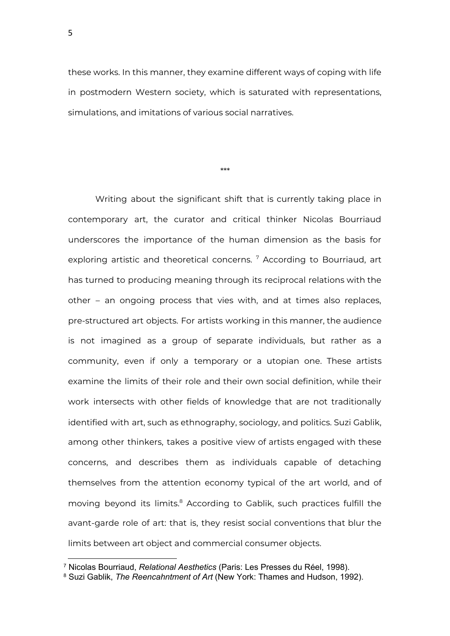these works. In this manner, they examine different ways of coping with life in postmodern Western society, which is saturated with representations, simulations, and imitations of various social narratives.

\*\*\*

Writing about the significant shift that is currently taking place in contemporary art, the curator and critical thinker Nicolas Bourriaud underscores the importance of the human dimension as the basis for exploring artistic and theoretical concerns.<sup>7</sup> According to Bourriaud, art has turned to producing meaning through its reciprocal relations with the other – an ongoing process that vies with, and at times also replaces, pre-structured art objects. For artists working in this manner, the audience is not imagined as a group of separate individuals, but rather as a community, even if only a temporary or a utopian one. These artists examine the limits of their role and their own social definition, while their work intersects with other fields of knowledge that are not traditionally identified with art, such as ethnography, sociology, and politics. Suzi Gablik, among other thinkers, takes a positive view of artists engaged with these concerns, and describes them as individuals capable of detaching themselves from the attention economy typical of the art world, and of moving beyond its limits. <sup>8</sup> According to Gablik, such practices fulfill the avant-garde role of art: that is, they resist social conventions that blur the limits between art object and commercial consumer objects.

<sup>7</sup> Nicolas Bourriaud, *Relational Aesthetics* (Paris: Les Presses du Réel, 1998).

<sup>8</sup> Suzi Gablik, *The Reencahntment of Art* (New York: Thames and Hudson, 1992).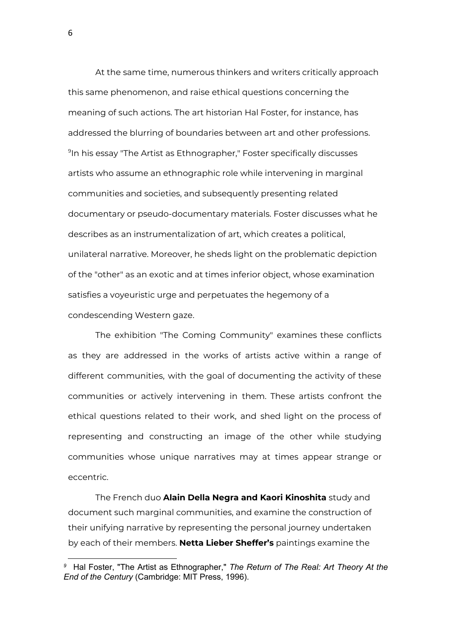At the same time, numerous thinkers and writers critically approach this same phenomenon, and raise ethical questions concerning the meaning of such actions. The art historian Hal Foster, for instance, has addressed the blurring of boundaries between art and other professions. 9 In his essay "The Artist as Ethnographer," Foster specifically discusses artists who assume an ethnographic role while intervening in marginal communities and societies, and subsequently presenting related documentary or pseudo-documentary materials. Foster discusses what he describes as an instrumentalization of art, which creates a political, unilateral narrative. Moreover, he sheds light on the problematic depiction of the "other" as an exotic and at times inferior object, whose examination satisfies a voyeuristic urge and perpetuates the hegemony of a condescending Western gaze.

The exhibition "The Coming Community" examines these conflicts as they are addressed in the works of artists active within a range of different communities, with the goal of documenting the activity of these communities or actively intervening in them. These artists confront the ethical questions related to their work, and shed light on the process of representing and constructing an image of the other while studying communities whose unique narratives may at times appear strange or eccentric.

The French duo **Alain Della Negra and Kaori Kinoshita** study and document such marginal communities, and examine the construction of their unifying narrative by representing the personal journey undertaken by each of their members. **Netta Lieber Sheffer's** paintings examine the

*<sup>9</sup>* Hal Foster, "The Artist as Ethnographer," *The Return of The Real: Art Theory At the End of the Century* (Cambridge: MIT Press, 1996).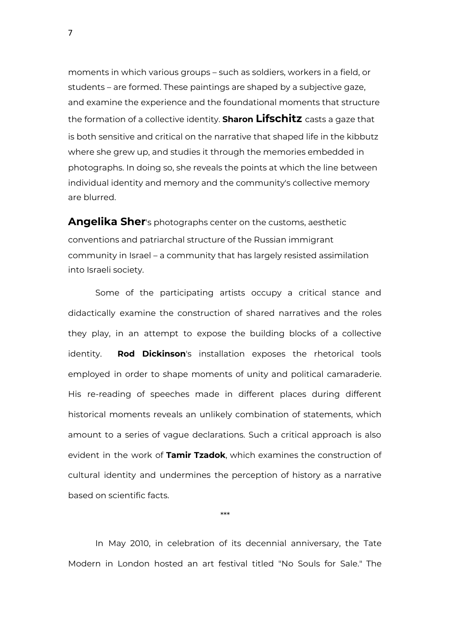moments in which various groups – such as soldiers, workers in a field, or students – are formed. These paintings are shaped by a subjective gaze, and examine the experience and the foundational moments that structure the formation of a collective identity. **Sharon Lifschitz** casts a gaze that is both sensitive and critical on the narrative that shaped life in the kibbutz where she grew up, and studies it through the memories embedded in photographs. In doing so, she reveals the points at which the line between individual identity and memory and the community's collective memory are blurred.

**Angelika Sher**'s photographs center on the customs, aesthetic conventions and patriarchal structure of the Russian immigrant community in Israel – a community that has largely resisted assimilation into Israeli society.

Some of the participating artists occupy a critical stance and didactically examine the construction of shared narratives and the roles they play, in an attempt to expose the building blocks of a collective identity. **Rod Dickinson**'s installation exposes the rhetorical tools employed in order to shape moments of unity and political camaraderie. His re-reading of speeches made in different places during different historical moments reveals an unlikely combination of statements, which amount to a series of vague declarations. Such a critical approach is also evident in the work of **Tamir Tzadok**, which examines the construction of cultural identity and undermines the perception of history as a narrative based on scientific facts.

\*\*\*

In May 2010, in celebration of its decennial anniversary, the Tate Modern in London hosted an art festival titled "No Souls for Sale." The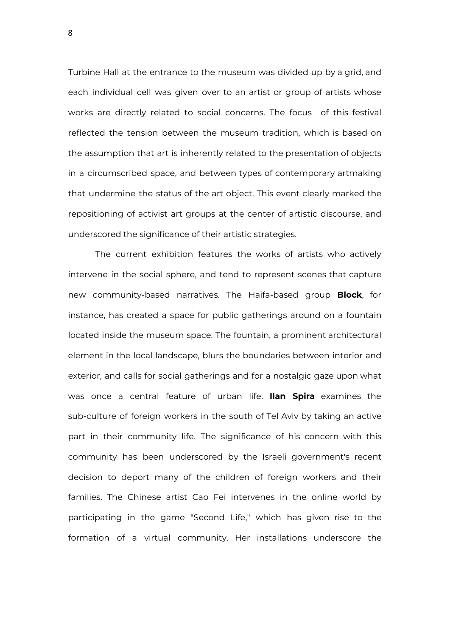Turbine Hall at the entrance to the museum was divided up by a grid, and each individual cell was given over to an artist or group of artists whose works are directly related to social concerns. The focus of this festival reflected the tension between the museum tradition, which is based on the assumption that art is inherently related to the presentation of objects in a circumscribed space, and between types of contemporary artmaking that undermine the status of the art object. This event clearly marked the repositioning of activist art groups at the center of artistic discourse, and underscored the significance of their artistic strategies.

The current exhibition features the works of artists who actively intervene in the social sphere, and tend to represent scenes that capture new community-based narratives. The Haifa-based group **Block**, for instance, has created a space for public gatherings around on a fountain located inside the museum space. The fountain, a prominent architectural element in the local landscape, blurs the boundaries between interior and exterior, and calls for social gatherings and for a nostalgic gaze upon what was once a central feature of urban life. **Ilan Spira** examines the sub-culture of foreign workers in the south of Tel Aviv by taking an active part in their community life. The significance of his concern with this community has been underscored by the Israeli government's recent decision to deport many of the children of foreign workers and their families. The Chinese artist Cao Fei intervenes in the online world by participating in the game "Second Life," which has given rise to the formation of a virtual community. Her installations underscore the

8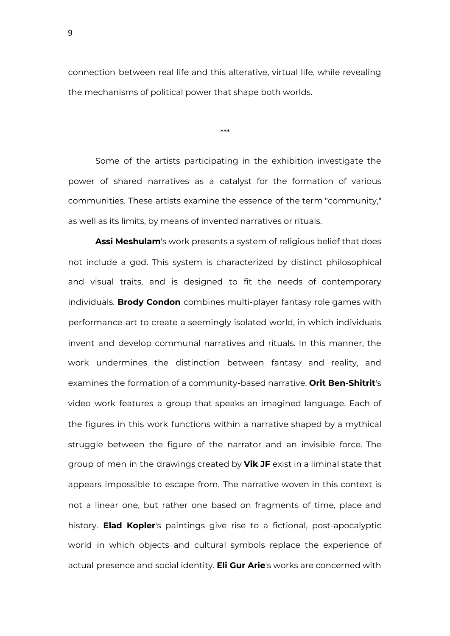connection between real life and this alterative, virtual life, while revealing the mechanisms of political power that shape both worlds.

\*\*\*

Some of the artists participating in the exhibition investigate the power of shared narratives as a catalyst for the formation of various communities. These artists examine the essence of the term "community," as well as its limits, by means of invented narratives or rituals.

**Assi Meshulam**'s work presents a system of religious belief that does not include a god. This system is characterized by distinct philosophical and visual traits, and is designed to fit the needs of contemporary individuals. **Brody Condon** combines multi-player fantasy role games with performance art to create a seemingly isolated world, in which individuals invent and develop communal narratives and rituals. In this manner, the work undermines the distinction between fantasy and reality, and examines the formation of a community-based narrative. **Orit Ben-Shitrit**'s video work features a group that speaks an imagined language. Each of the figures in this work functions within a narrative shaped by a mythical struggle between the figure of the narrator and an invisible force. The group of men in the drawings created by **Vik JF** exist in a liminal state that appears impossible to escape from. The narrative woven in this context is not a linear one, but rather one based on fragments of time, place and history. **Elad Kopler**'s paintings give rise to a fictional, post-apocalyptic world in which objects and cultural symbols replace the experience of actual presence and social identity. **Eli Gur Arie**'s works are concerned with